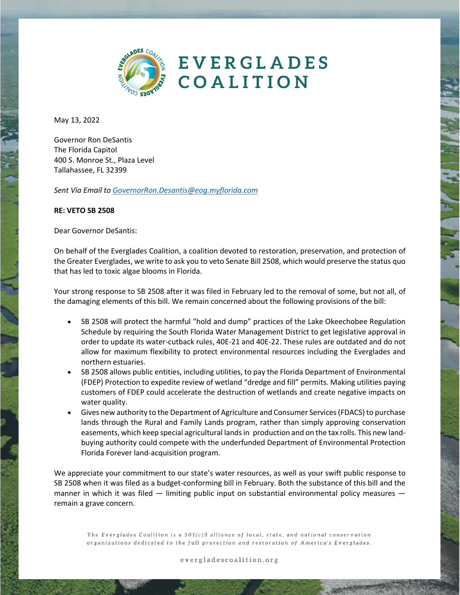

**EVERGLADES** COALITION

May 13, 2022

Governor Ron DeSantis The Florida Capitol 400 S. Monroe St., Plaza Level Tallahassee, FL 32399

*Sent Via Email to GovernorRon.Desantis@eog.myflorida.com*

## **RE: VETO SB 2508**

Dear Governor DeSantis:

On behalf of the Everglades Coalition, a coalition devoted to restoration, preservation, and protection of the Greater Everglades, we write to ask you to veto Senate Bill 2508, which would preserve the status quo that has led to toxic algae blooms in Florida.

Your strong response to SB 2508 after it was filed in February led to the removal of some, but not all, of the damaging elements of this bill. We remain concerned about the following provisions of the bill:

- SB 2508 will protect the harmful "hold and dump" practices of the Lake Okeechobee Regulation Schedule by requiring the South Florida Water Management District to get legislative approval in order to update its water-cutback rules, 40E-21 and 40E-22. These rules are outdated and do not allow for maximum flexibility to protect environmental resources including the Everglades and northern estuaries.
- SB 2508 allows public entities, including utilities, to pay the Florida Department of Environmental (FDEP) Protection to expedite review of wetland "dredge and fill" permits. Making utilities paying customers of FDEP could accelerate the destruction of wetlands and create negative impacts on water quality.
- Gives new authority to the Department of Agriculture and Consumer Services (FDACS) to purchase lands through the Rural and Family Lands program, rather than simply approving conservation easements, which keep special agricultural lands in production and on the tax rolls. This new landbuying authority could compete with the underfunded Department of Environmental Protection Florida Forever land-acquisition program.

We appreciate your commitment to our state's water resources, as well as your swift public response to SB 2508 when it was filed as a budget-conforming bill in February. Both the substance of this bill and the manner in which it was filed  $-$  limiting public input on substantial environmental policy measures  $$ remain a grave concern.

The Everglades Coalition is a 501(c)3 alliance of local, state, and national conservation organizations dedicated to the full protection and restoration of America's Everglades.